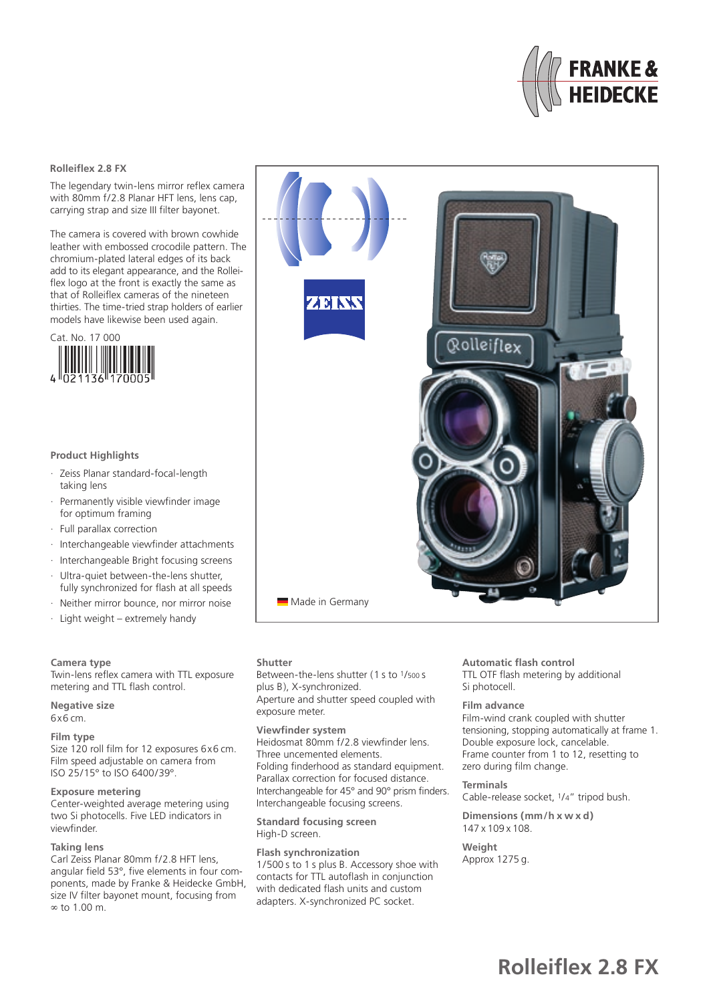

# **Rolleiflex 2.8 FX**

The legendary twin-lens mirror reflex camera with 80mm f/2.8 Planar HFT lens, lens cap, carrying strap and size III filter bayonet.

The camera is covered with brown cowhide leather with embossed crocodile pattern. The chromium-plated lateral edges of its back add to its elegant appearance, and the Rolleiflex logo at the front is exactly the same as that of Rolleiflex cameras of the nineteen thirties. The time-tried strap holders of earlier models have likewise been used again.



## **Product Highlights**

- · Zeiss Planar standard-focal-length taking lens
- Permanently visible viewfinder image for optimum framing
- · Full parallax correction
- · Interchangeable viewfinder attachments
- · Interchangeable Bright focusing screens
- Ultra-quiet between-the-lens shutter,
- fully synchronized for flash at all speeds
- · Neither mirror bounce, nor mirror noise
- · Light weight extremely handy

#### **Camera type**

Twin-lens reflex camera with TTL exposure metering and TTL flash control.

**Negative size** 6x6 cm.

#### **Film type**

Size 120 roll film for 12 exposures 6x6 cm. Film speed adjustable on camera from ISO 25/15° to ISO 6400/39°.

# **Exposure metering**

Center-weighted average metering using two Si photocells. Five LED indicators in viewfinder.

## **Taking lens**

Carl Zeiss Planar 80mm f/2.8 HFT lens, angular field 53°, five elements in four components, made by Franke & Heidecke GmbH, size IV filter bayonet mount, focusing from ∞ to 1.00 m.



**Shutter**

Between-the-lens shutter (1 s to 1/500 s plus B), X-synchronized. Aperture and shutter speed coupled with exposure meter.

#### **Viewfinder system**

Heidosmat 80mm f/2.8 viewfinder lens. Three uncemented elements. Folding finderhood as standard equipment. Parallax correction for focused distance. Interchangeable for 45° and 90° prism finders. Interchangeable focusing screens.

**Standard focusing screen** High-D screen.

**Flash synchronization** 1/500 s to 1 s plus B. Accessory shoe with contacts for TTL autoflash in conjunction with dedicated flash units and custom adapters. X-synchronized PC socket.

#### **Automatic flash control** TTL OTF flash metering by additional Si photocell.

#### **Film advance**

Film-wind crank coupled with shutter tensioning, stopping automatically at frame 1. Double exposure lock, cancelable. Frame counter from 1 to 12, resetting to zero during film change.

# **Terminals**

Cable-release socket, 1/4" tripod bush.

**Dimensions (mm/h x w x d)** 147 x 109 x 108.

## **Weight**

Approx 1275 g.